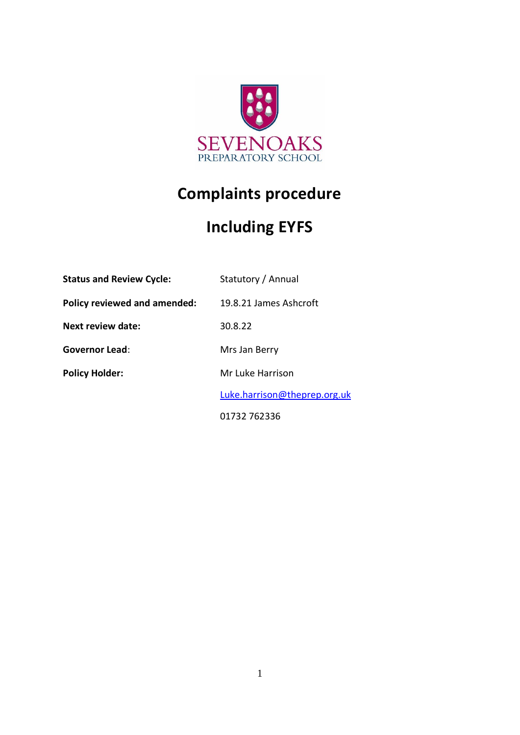

# **Complaints procedure**

# **Including EYFS**

| <b>Status and Review Cycle:</b>     | Statutory / Annual           |
|-------------------------------------|------------------------------|
| <b>Policy reviewed and amended:</b> | 19.8.21 James Ashcroft       |
| Next review date:                   | 30.8.22                      |
| <b>Governor Lead:</b>               | Mrs Jan Berry                |
| <b>Policy Holder:</b>               | Mr Luke Harrison             |
|                                     | Luke.harrison@theprep.org.uk |
|                                     | 01732 762336                 |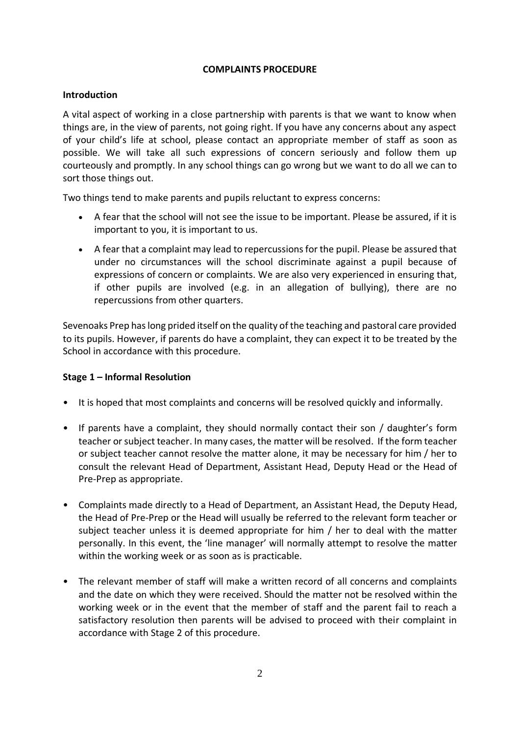#### **COMPLAINTS PROCEDURE**

#### **Introduction**

A vital aspect of working in a close partnership with parents is that we want to know when things are, in the view of parents, not going right. If you have any concerns about any aspect of your child's life at school, please contact an appropriate member of staff as soon as possible. We will take all such expressions of concern seriously and follow them up courteously and promptly. In any school things can go wrong but we want to do all we can to sort those things out.

Two things tend to make parents and pupils reluctant to express concerns:

- A fear that the school will not see the issue to be important. Please be assured, if it is important to you, it is important to us.
- A fear that a complaint may lead to repercussions for the pupil. Please be assured that under no circumstances will the school discriminate against a pupil because of expressions of concern or complaints. We are also very experienced in ensuring that, if other pupils are involved (e.g. in an allegation of bullying), there are no repercussions from other quarters.

Sevenoaks Prep has long prided itself on the quality of the teaching and pastoral care provided to its pupils. However, if parents do have a complaint, they can expect it to be treated by the School in accordance with this procedure.

# **Stage 1 – Informal Resolution**

- It is hoped that most complaints and concerns will be resolved quickly and informally.
- If parents have a complaint, they should normally contact their son / daughter's form teacher or subject teacher. In many cases, the matter will be resolved. If the form teacher or subject teacher cannot resolve the matter alone, it may be necessary for him / her to consult the relevant Head of Department, Assistant Head, Deputy Head or the Head of Pre-Prep as appropriate.
- Complaints made directly to a Head of Department, an Assistant Head, the Deputy Head, the Head of Pre-Prep or the Head will usually be referred to the relevant form teacher or subject teacher unless it is deemed appropriate for him / her to deal with the matter personally. In this event, the 'line manager' will normally attempt to resolve the matter within the working week or as soon as is practicable.
- The relevant member of staff will make a written record of all concerns and complaints and the date on which they were received. Should the matter not be resolved within the working week or in the event that the member of staff and the parent fail to reach a satisfactory resolution then parents will be advised to proceed with their complaint in accordance with Stage 2 of this procedure.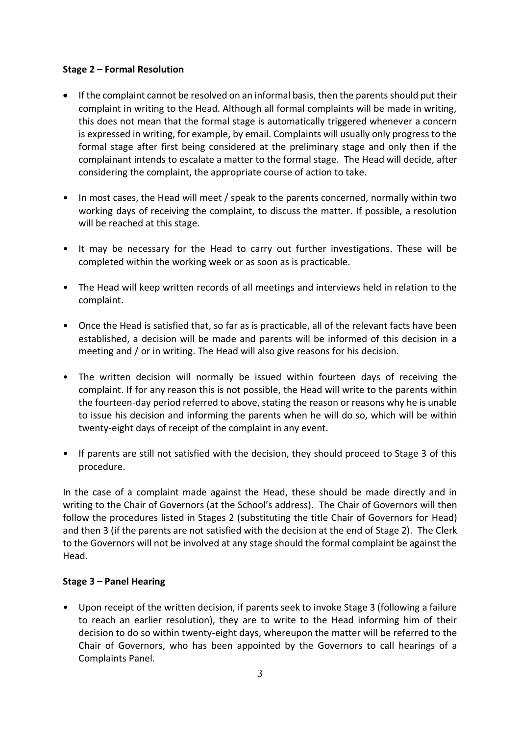### **Stage 2 – Formal Resolution**

- If the complaint cannot be resolved on an informal basis, then the parents should put their complaint in writing to the Head. Although all formal complaints will be made in writing, this does not mean that the formal stage is automatically triggered whenever a concern is expressed in writing, for example, by email. Complaints will usually only progress to the formal stage after first being considered at the preliminary stage and only then if the complainant intends to escalate a matter to the formal stage. The Head will decide, after considering the complaint, the appropriate course of action to take.
- In most cases, the Head will meet / speak to the parents concerned, normally within two working days of receiving the complaint, to discuss the matter. If possible, a resolution will be reached at this stage.
- It may be necessary for the Head to carry out further investigations. These will be completed within the working week or as soon as is practicable.
- The Head will keep written records of all meetings and interviews held in relation to the complaint.
- Once the Head is satisfied that, so far as is practicable, all of the relevant facts have been established, a decision will be made and parents will be informed of this decision in a meeting and / or in writing. The Head will also give reasons for his decision.
- The written decision will normally be issued within fourteen days of receiving the complaint. If for any reason this is not possible, the Head will write to the parents within the fourteen-day period referred to above, stating the reason or reasons why he is unable to issue his decision and informing the parents when he will do so, which will be within twenty-eight days of receipt of the complaint in any event.
- If parents are still not satisfied with the decision, they should proceed to Stage 3 of this procedure.

In the case of a complaint made against the Head, these should be made directly and in writing to the Chair of Governors (at the School's address). The Chair of Governors will then follow the procedures listed in Stages 2 (substituting the title Chair of Governors for Head) and then 3 (if the parents are not satisfied with the decision at the end of Stage 2). The Clerk to the Governors will not be involved at any stage should the formal complaint be against the Head.

# **Stage 3 – Panel Hearing**

• Upon receipt of the written decision, if parents seek to invoke Stage 3 (following a failure to reach an earlier resolution), they are to write to the Head informing him of their decision to do so within twenty-eight days, whereupon the matter will be referred to the Chair of Governors, who has been appointed by the Governors to call hearings of a Complaints Panel.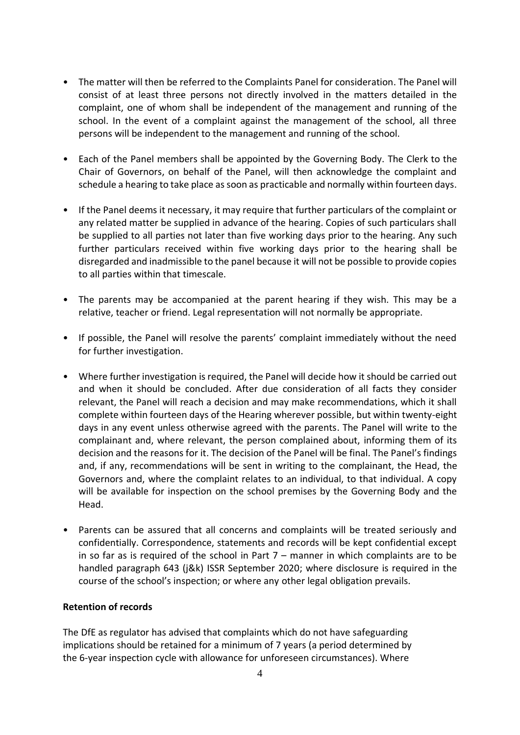- The matter will then be referred to the Complaints Panel for consideration. The Panel will consist of at least three persons not directly involved in the matters detailed in the complaint, one of whom shall be independent of the management and running of the school. In the event of a complaint against the management of the school, all three persons will be independent to the management and running of the school.
- Each of the Panel members shall be appointed by the Governing Body. The Clerk to the Chair of Governors, on behalf of the Panel, will then acknowledge the complaint and schedule a hearing to take place as soon as practicable and normally within fourteen days.
- If the Panel deems it necessary, it may require that further particulars of the complaint or any related matter be supplied in advance of the hearing. Copies of such particulars shall be supplied to all parties not later than five working days prior to the hearing. Any such further particulars received within five working days prior to the hearing shall be disregarded and inadmissible to the panel because it will not be possible to provide copies to all parties within that timescale.
- The parents may be accompanied at the parent hearing if they wish. This may be a relative, teacher or friend. Legal representation will not normally be appropriate.
- If possible, the Panel will resolve the parents' complaint immediately without the need for further investigation.
- Where further investigation is required, the Panel will decide how it should be carried out and when it should be concluded. After due consideration of all facts they consider relevant, the Panel will reach a decision and may make recommendations, which it shall complete within fourteen days of the Hearing wherever possible, but within twenty-eight days in any event unless otherwise agreed with the parents. The Panel will write to the complainant and, where relevant, the person complained about, informing them of its decision and the reasons for it. The decision of the Panel will be final. The Panel's findings and, if any, recommendations will be sent in writing to the complainant, the Head, the Governors and, where the complaint relates to an individual, to that individual. A copy will be available for inspection on the school premises by the Governing Body and the Head.
- Parents can be assured that all concerns and complaints will be treated seriously and confidentially. Correspondence, statements and records will be kept confidential except in so far as is required of the school in Part  $7 -$  manner in which complaints are to be handled paragraph 643 (j&k) ISSR September 2020; where disclosure is required in the course of the school's inspection; or where any other legal obligation prevails.

## **Retention of records**

The DfE as regulator has advised that complaints which do not have safeguarding implications should be retained for a minimum of 7 years (a period determined by the 6-year inspection cycle with allowance for unforeseen circumstances). Where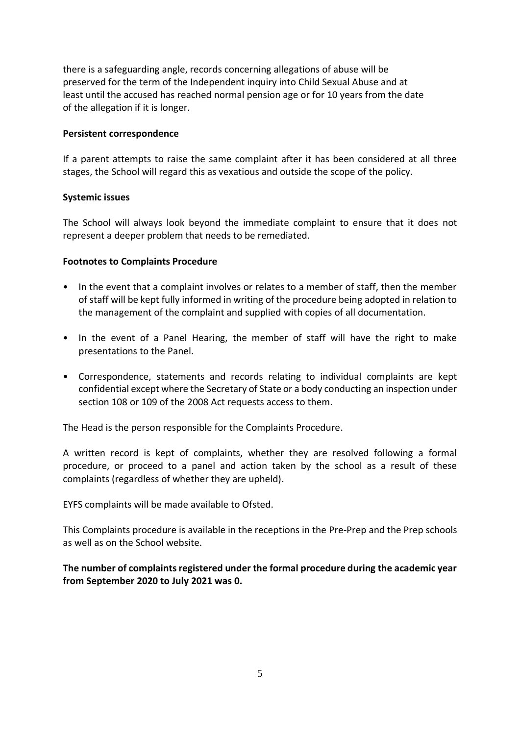there is a safeguarding angle, records concerning allegations of abuse will be preserved for the term of the Independent inquiry into Child Sexual Abuse and at least until the accused has reached normal pension age or for 10 years from the date of the allegation if it is longer.

#### **Persistent correspondence**

If a parent attempts to raise the same complaint after it has been considered at all three stages, the School will regard this as vexatious and outside the scope of the policy.

#### **Systemic issues**

The School will always look beyond the immediate complaint to ensure that it does not represent a deeper problem that needs to be remediated.

#### **Footnotes to Complaints Procedure**

- In the event that a complaint involves or relates to a member of staff, then the member of staff will be kept fully informed in writing of the procedure being adopted in relation to the management of the complaint and supplied with copies of all documentation.
- In the event of a Panel Hearing, the member of staff will have the right to make presentations to the Panel.
- Correspondence, statements and records relating to individual complaints are kept confidential except where the Secretary of State or a body conducting an inspection under section 108 or 109 of the 2008 Act requests access to them.

The Head is the person responsible for the Complaints Procedure.

A written record is kept of complaints, whether they are resolved following a formal procedure, or proceed to a panel and action taken by the school as a result of these complaints (regardless of whether they are upheld).

EYFS complaints will be made available to Ofsted.

This Complaints procedure is available in the receptions in the Pre-Prep and the Prep schools as well as on the School website.

**The number of complaints registered under the formal procedure during the academic year from September 2020 to July 2021 was 0.**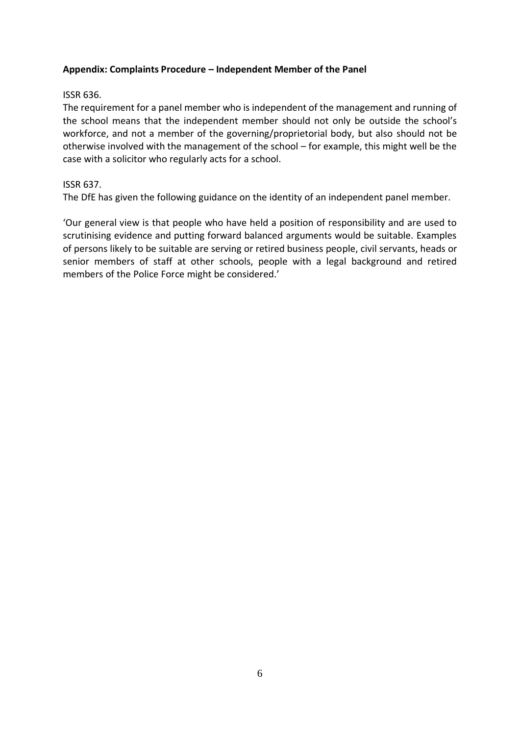## **Appendix: Complaints Procedure – Independent Member of the Panel**

## ISSR 636.

The requirement for a panel member who is independent of the management and running of the school means that the independent member should not only be outside the school's workforce, and not a member of the governing/proprietorial body, but also should not be otherwise involved with the management of the school – for example, this might well be the case with a solicitor who regularly acts for a school.

# ISSR 637.

The DfE has given the following guidance on the identity of an independent panel member.

'Our general view is that people who have held a position of responsibility and are used to scrutinising evidence and putting forward balanced arguments would be suitable. Examples of persons likely to be suitable are serving or retired business people, civil servants, heads or senior members of staff at other schools, people with a legal background and retired members of the Police Force might be considered.'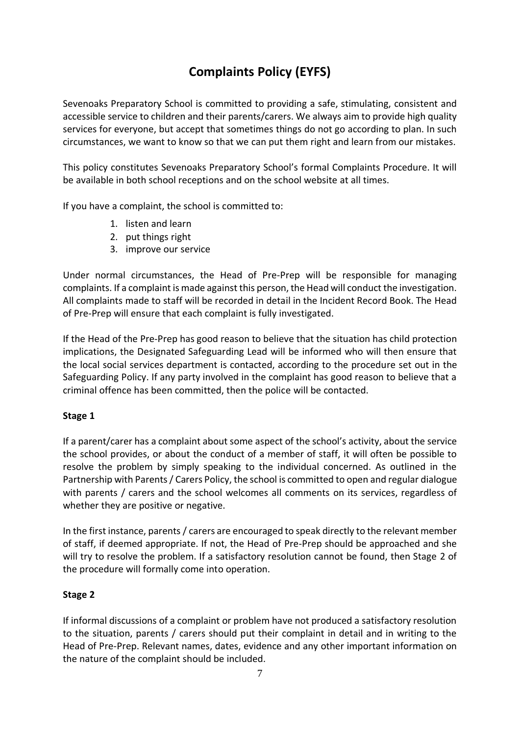# **Complaints Policy (EYFS)**

Sevenoaks Preparatory School is committed to providing a safe, stimulating, consistent and accessible service to children and their parents/carers. We always aim to provide high quality services for everyone, but accept that sometimes things do not go according to plan. In such circumstances, we want to know so that we can put them right and learn from our mistakes.

This policy constitutes Sevenoaks Preparatory School's formal Complaints Procedure. It will be available in both school receptions and on the school website at all times.

If you have a complaint, the school is committed to:

- 1. listen and learn
- 2. put things right
- 3. improve our service

Under normal circumstances, the Head of Pre-Prep will be responsible for managing complaints. If a complaint is made against this person, the Head will conduct the investigation. All complaints made to staff will be recorded in detail in the Incident Record Book. The Head of Pre-Prep will ensure that each complaint is fully investigated.

If the Head of the Pre-Prep has good reason to believe that the situation has child protection implications, the Designated Safeguarding Lead will be informed who will then ensure that the local social services department is contacted, according to the procedure set out in the Safeguarding Policy. If any party involved in the complaint has good reason to believe that a criminal offence has been committed, then the police will be contacted.

# **Stage 1**

If a parent/carer has a complaint about some aspect of the school's activity, about the service the school provides, or about the conduct of a member of staff, it will often be possible to resolve the problem by simply speaking to the individual concerned. As outlined in the Partnership with Parents/ Carers Policy, the school is committed to open and regular dialogue with parents / carers and the school welcomes all comments on its services, regardless of whether they are positive or negative.

In the first instance, parents / carers are encouraged to speak directly to the relevant member of staff, if deemed appropriate. If not, the Head of Pre-Prep should be approached and she will try to resolve the problem. If a satisfactory resolution cannot be found, then Stage 2 of the procedure will formally come into operation.

# **Stage 2**

If informal discussions of a complaint or problem have not produced a satisfactory resolution to the situation, parents / carers should put their complaint in detail and in writing to the Head of Pre-Prep. Relevant names, dates, evidence and any other important information on the nature of the complaint should be included.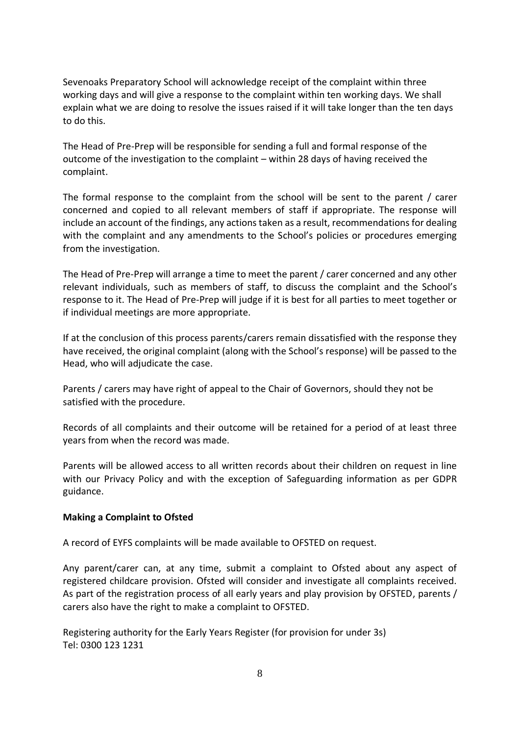Sevenoaks Preparatory School will acknowledge receipt of the complaint within three working days and will give a response to the complaint within ten working days. We shall explain what we are doing to resolve the issues raised if it will take longer than the ten days to do this.

The Head of Pre-Prep will be responsible for sending a full and formal response of the outcome of the investigation to the complaint – within 28 days of having received the complaint.

The formal response to the complaint from the school will be sent to the parent / carer concerned and copied to all relevant members of staff if appropriate. The response will include an account of the findings, any actions taken as a result, recommendations for dealing with the complaint and any amendments to the School's policies or procedures emerging from the investigation.

The Head of Pre-Prep will arrange a time to meet the parent / carer concerned and any other relevant individuals, such as members of staff, to discuss the complaint and the School's response to it. The Head of Pre-Prep will judge if it is best for all parties to meet together or if individual meetings are more appropriate.

If at the conclusion of this process parents/carers remain dissatisfied with the response they have received, the original complaint (along with the School's response) will be passed to the Head, who will adjudicate the case.

Parents / carers may have right of appeal to the Chair of Governors, should they not be satisfied with the procedure.

Records of all complaints and their outcome will be retained for a period of at least three years from when the record was made.

Parents will be allowed access to all written records about their children on request in line with our Privacy Policy and with the exception of Safeguarding information as per GDPR guidance.

#### **Making a Complaint to Ofsted**

A record of EYFS complaints will be made available to OFSTED on request.

Any parent/carer can, at any time, submit a complaint to Ofsted about any aspect of registered childcare provision. Ofsted will consider and investigate all complaints received. As part of the registration process of all early years and play provision by OFSTED, parents / carers also have the right to make a complaint to OFSTED.

Registering authority for the Early Years Register (for provision for under 3s) Tel: 0300 123 1231